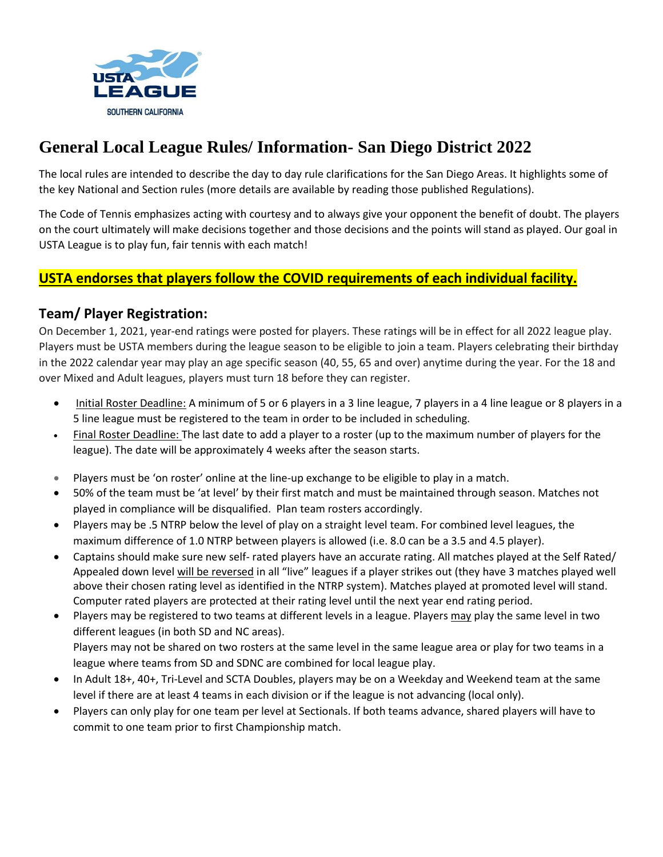

# **General Local League Rules/ Information- San Diego District 2022**

The local rules are intended to describe the day to day rule clarifications for the San Diego Areas. It highlights some of the key National and Section rules (more details are available by reading those published Regulations).

The Code of Tennis emphasizes acting with courtesy and to always give your opponent the benefit of doubt. The players on the court ultimately will make decisions together and those decisions and the points will stand as played. Our goal in USTA League is to play fun, fair tennis with each match!

## **USTA endorses that players follow the COVID requirements of each individual facility.**

## **Team/ Player Registration:**

On December 1, 2021, year-end ratings were posted for players. These ratings will be in effect for all 2022 league play. Players must be USTA members during the league season to be eligible to join a team. Players celebrating their birthday in the 2022 calendar year may play an age specific season (40, 55, 65 and over) anytime during the year. For the 18 and over Mixed and Adult leagues, players must turn 18 before they can register.

- Initial Roster Deadline: A minimum of 5 or 6 players in a 3 line league, 7 players in a 4 line league or 8 players in a 5 line league must be registered to the team in order to be included in scheduling.
- Final Roster Deadline: The last date to add a player to a roster (up to the maximum number of players for the league). The date will be approximately 4 weeks after the season starts.
- Players must be 'on roster' online at the line-up exchange to be eligible to play in a match.
- 50% of the team must be 'at level' by their first match and must be maintained through season. Matches not played in compliance will be disqualified. Plan team rosters accordingly.
- Players may be .5 NTRP below the level of play on a straight level team. For combined level leagues, the maximum difference of 1.0 NTRP between players is allowed (i.e. 8.0 can be a 3.5 and 4.5 player).
- Captains should make sure new self- rated players have an accurate rating. All matches played at the Self Rated/ Appealed down level will be reversed in all "live" leagues if a player strikes out (they have 3 matches played well above their chosen rating level as identified in the NTRP system). Matches played at promoted level will stand. Computer rated players are protected at their rating level until the next year end rating period.
- Players may be registered to two teams at different levels in a league. Players may play the same level in two different leagues (in both SD and NC areas). Players may not be shared on two rosters at the same level in the same league area or play for two teams in a league where teams from SD and SDNC are combined for local league play.
- In Adult 18+, 40+, Tri-Level and SCTA Doubles, players may be on a Weekday and Weekend team at the same level if there are at least 4 teams in each division or if the league is not advancing (local only).
- Players can only play for one team per level at Sectionals. If both teams advance, shared players will have to commit to one team prior to first Championship match.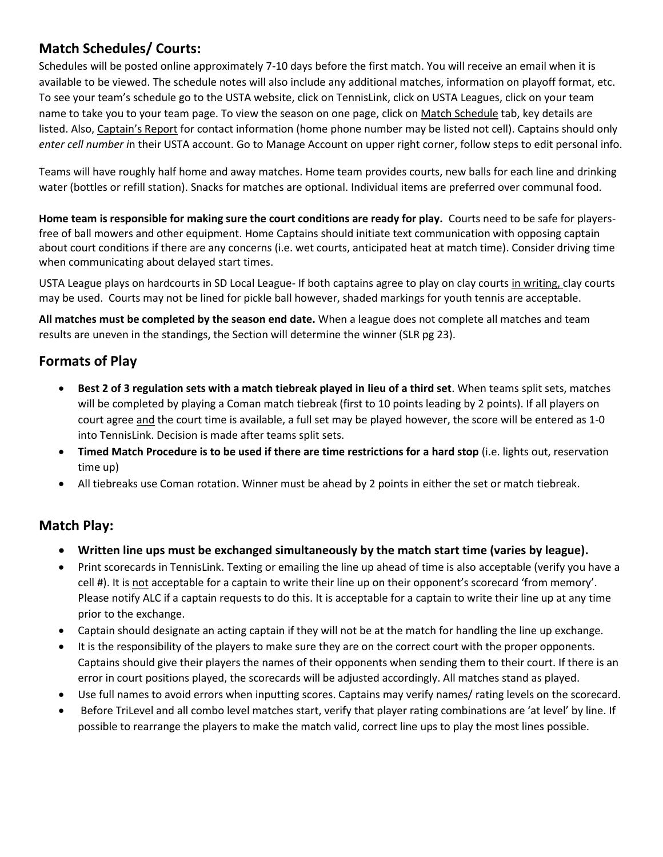# **Match Schedules/ Courts:**

Schedules will be posted online approximately 7-10 days before the first match. You will receive an email when it is available to be viewed. The schedule notes will also include any additional matches, information on playoff format, etc. To see your team's schedule go to the USTA website, click on TennisLink, click on USTA Leagues, click on your team name to take you to your team page. To view the season on one page, click on Match Schedule tab, key details are listed. Also, Captain's Report for contact information (home phone number may be listed not cell). Captains should only *enter cell number i*n their USTA account. Go to Manage Account on upper right corner, follow steps to edit personal info.

Teams will have roughly half home and away matches. Home team provides courts, new balls for each line and drinking water (bottles or refill station). Snacks for matches are optional. Individual items are preferred over communal food.

**Home team is responsible for making sure the court conditions are ready for play.** Courts need to be safe for playersfree of ball mowers and other equipment. Home Captains should initiate text communication with opposing captain about court conditions if there are any concerns (i.e. wet courts, anticipated heat at match time). Consider driving time when communicating about delayed start times.

USTA League plays on hardcourts in SD Local League- If both captains agree to play on clay courts in writing, clay courts may be used. Courts may not be lined for pickle ball however, shaded markings for youth tennis are acceptable.

**All matches must be completed by the season end date.** When a league does not complete all matches and team results are uneven in the standings, the Section will determine the winner (SLR pg 23).

## **Formats of Play**

- **Best 2 of 3 regulation sets with a match tiebreak played in lieu of a third set**. When teams split sets, matches will be completed by playing a Coman match tiebreak (first to 10 points leading by 2 points). If all players on court agree and the court time is available, a full set may be played however, the score will be entered as 1-0 into TennisLink. Decision is made after teams split sets.
- **Timed Match Procedure is to be used if there are time restrictions for a hard stop** (i.e. lights out, reservation time up)
- All tiebreaks use Coman rotation. Winner must be ahead by 2 points in either the set or match tiebreak.

## **Match Play:**

- **Written line ups must be exchanged simultaneously by the match start time (varies by league).**
- Print scorecards in TennisLink. Texting or emailing the line up ahead of time is also acceptable (verify you have a cell #). It is not acceptable for a captain to write their line up on their opponent's scorecard 'from memory'. Please notify ALC if a captain requests to do this. It is acceptable for a captain to write their line up at any time prior to the exchange.
- Captain should designate an acting captain if they will not be at the match for handling the line up exchange.
- It is the responsibility of the players to make sure they are on the correct court with the proper opponents. Captains should give their players the names of their opponents when sending them to their court. If there is an error in court positions played, the scorecards will be adjusted accordingly. All matches stand as played.
- Use full names to avoid errors when inputting scores. Captains may verify names/ rating levels on the scorecard.
- Before TriLevel and all combo level matches start, verify that player rating combinations are 'at level' by line. If possible to rearrange the players to make the match valid, correct line ups to play the most lines possible.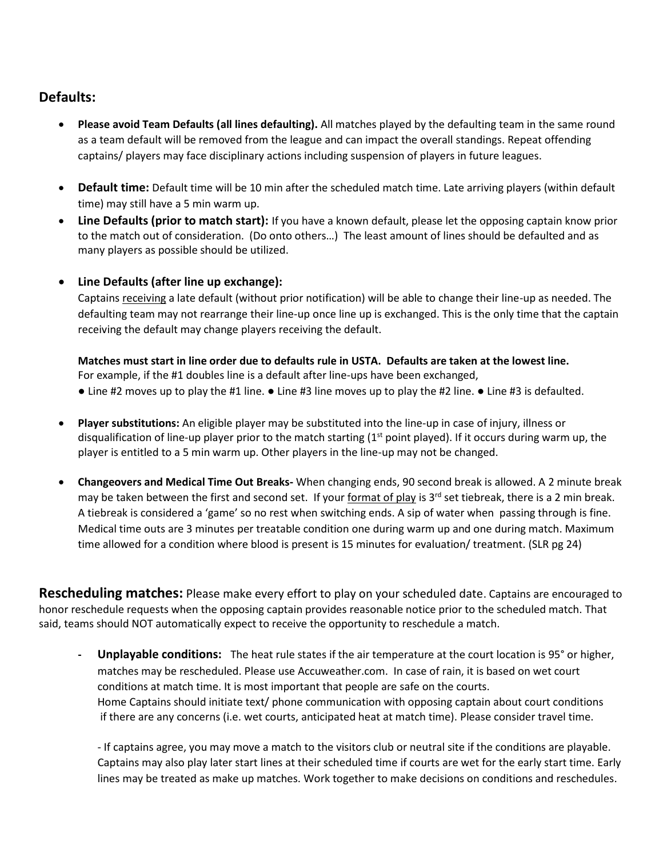### **Defaults:**

- **Please avoid Team Defaults (all lines defaulting).** All matches played by the defaulting team in the same round as a team default will be removed from the league and can impact the overall standings. Repeat offending captains/ players may face disciplinary actions including suspension of players in future leagues.
- **Default time:** Default time will be 10 min after the scheduled match time. Late arriving players (within default time) may still have a 5 min warm up.
- **Line Defaults (prior to match start):** If you have a known default, please let the opposing captain know prior to the match out of consideration. (Do onto others…) The least amount of lines should be defaulted and as many players as possible should be utilized.
- **Line Defaults (after line up exchange):**

Captains receiving a late default (without prior notification) will be able to change their line-up as needed. The defaulting team may not rearrange their line-up once line up is exchanged. This is the only time that the captain receiving the default may change players receiving the default.

**Matches must start in line order due to defaults rule in USTA. Defaults are taken at the lowest line.** For example, if the #1 doubles line is a default after line-ups have been exchanged, ● Line #2 moves up to play the #1 line. ● Line #3 line moves up to play the #2 line. ● Line #3 is defaulted.

- **Player substitutions:** An eligible player may be substituted into the line-up in case of injury, illness or disqualification of line-up player prior to the match starting  $(1<sup>st</sup>$  point played). If it occurs during warm up, the player is entitled to a 5 min warm up. Other players in the line-up may not be changed.
- **Changeovers and Medical Time Out Breaks-** When changing ends, 90 second break is allowed. A 2 minute break may be taken between the first and second set. If your format of play is  $3<sup>rd</sup>$  set tiebreak, there is a 2 min break. A tiebreak is considered a 'game' so no rest when switching ends. A sip of water when passing through is fine. Medical time outs are 3 minutes per treatable condition one during warm up and one during match. Maximum time allowed for a condition where blood is present is 15 minutes for evaluation/ treatment. (SLR pg 24)

**Rescheduling matches:** Please make every effort to play on your scheduled date. Captains are encouraged to honor reschedule requests when the opposing captain provides reasonable notice prior to the scheduled match. That said, teams should NOT automatically expect to receive the opportunity to reschedule a match.

**- Unplayable conditions:** The heat rule states if the air temperature at the court location is 95° or higher, matches may be rescheduled. Please use Accuweather.com. In case of rain, it is based on wet court conditions at match time. It is most important that people are safe on the courts. Home Captains should initiate text/ phone communication with opposing captain about court conditions if there are any concerns (i.e. wet courts, anticipated heat at match time). Please consider travel time.

- If captains agree, you may move a match to the visitors club or neutral site if the conditions are playable. Captains may also play later start lines at their scheduled time if courts are wet for the early start time. Early lines may be treated as make up matches. Work together to make decisions on conditions and reschedules.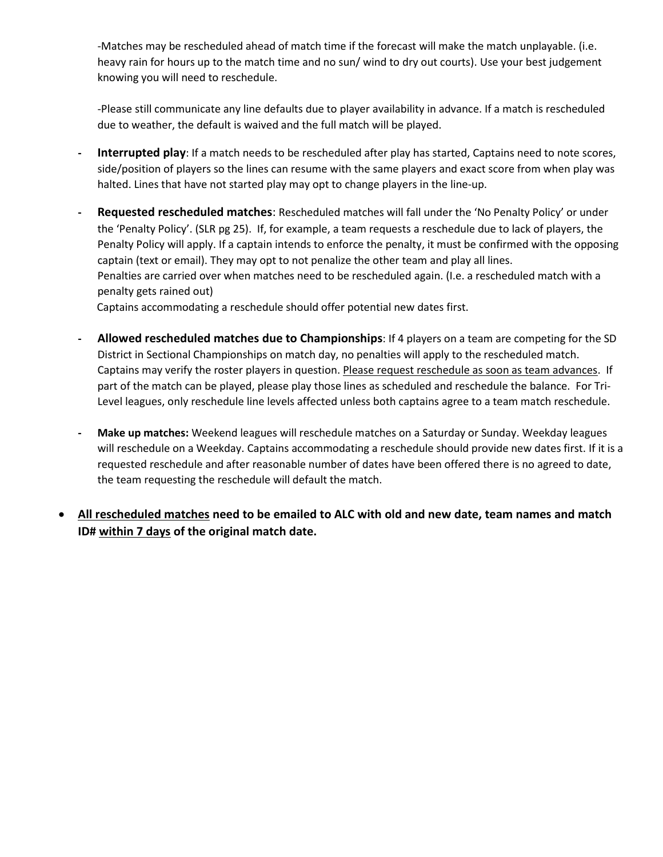-Matches may be rescheduled ahead of match time if the forecast will make the match unplayable. (i.e. heavy rain for hours up to the match time and no sun/ wind to dry out courts). Use your best judgement knowing you will need to reschedule.

-Please still communicate any line defaults due to player availability in advance. If a match is rescheduled due to weather, the default is waived and the full match will be played.

- **- Interrupted play**: If a match needs to be rescheduled after play has started, Captains need to note scores, side/position of players so the lines can resume with the same players and exact score from when play was halted. Lines that have not started play may opt to change players in the line-up.
- **- Requested rescheduled matches**: Rescheduled matches will fall under the 'No Penalty Policy' or under the 'Penalty Policy'. (SLR pg 25). If, for example, a team requests a reschedule due to lack of players, the Penalty Policy will apply. If a captain intends to enforce the penalty, it must be confirmed with the opposing captain (text or email). They may opt to not penalize the other team and play all lines. Penalties are carried over when matches need to be rescheduled again. (I.e. a rescheduled match with a penalty gets rained out)

Captains accommodating a reschedule should offer potential new dates first.

- **- Allowed rescheduled matches due to Championships**: If 4 players on a team are competing for the SD District in Sectional Championships on match day, no penalties will apply to the rescheduled match. Captains may verify the roster players in question. Please request reschedule as soon as team advances. If part of the match can be played, please play those lines as scheduled and reschedule the balance. For Tri-Level leagues, only reschedule line levels affected unless both captains agree to a team match reschedule.
- **- Make up matches:** Weekend leagues will reschedule matches on a Saturday or Sunday. Weekday leagues will reschedule on a Weekday. Captains accommodating a reschedule should provide new dates first. If it is a requested reschedule and after reasonable number of dates have been offered there is no agreed to date, the team requesting the reschedule will default the match.
- **All rescheduled matches need to be emailed to ALC with old and new date, team names and match ID# within 7 days of the original match date.**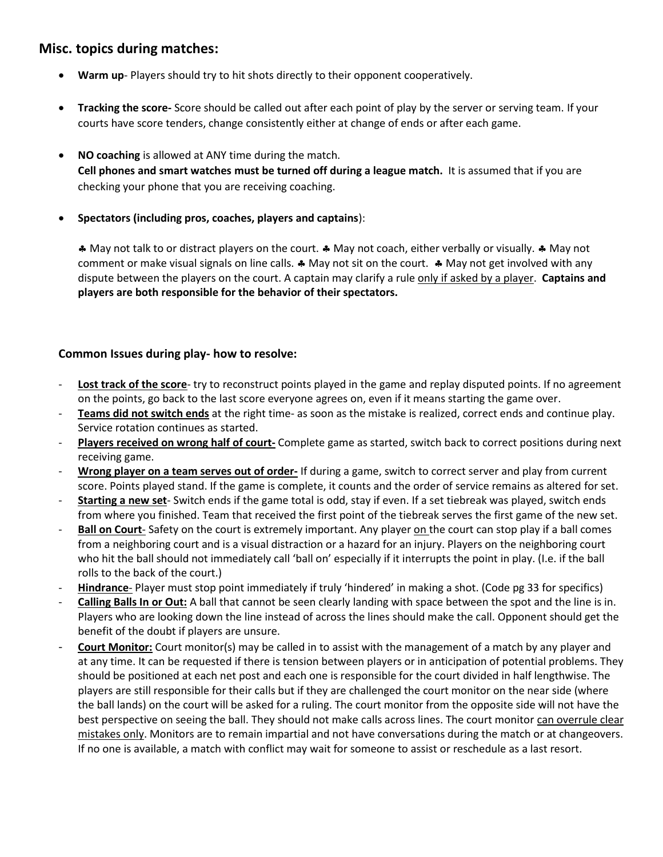#### **Misc. topics during matches:**

- **Warm up** Players should try to hit shots directly to their opponent cooperatively.
- **Tracking the score-** Score should be called out after each point of play by the server or serving team. If your courts have score tenders, change consistently either at change of ends or after each game.
- **NO coaching** is allowed at ANY time during the match. **Cell phones and smart watches must be turned off during a league match.** It is assumed that if you are checking your phone that you are receiving coaching.
- **Spectators (including pros, coaches, players and captains**):

 May not talk to or distract players on the court. May not coach, either verbally or visually. May not comment or make visual signals on line calls.  $\clubsuit$  May not sit on the court.  $\clubsuit$  May not get involved with any dispute between the players on the court. A captain may clarify a rule only if asked by a player. **Captains and players are both responsible for the behavior of their spectators.** 

#### **Common Issues during play- how to resolve:**

- **Lost track of the score** try to reconstruct points played in the game and replay disputed points. If no agreement on the points, go back to the last score everyone agrees on, even if it means starting the game over.
- **Teams did not switch ends** at the right time- as soon as the mistake is realized, correct ends and continue play. Service rotation continues as started.
- **Players received on wrong half of court-** Complete game as started, switch back to correct positions during next receiving game.
- **Wrong player on a team serves out of order-** If during a game, switch to correct server and play from current score. Points played stand. If the game is complete, it counts and the order of service remains as altered for set.
- **Starting a new set** Switch ends if the game total is odd, stay if even. If a set tiebreak was played, switch ends from where you finished. Team that received the first point of the tiebreak serves the first game of the new set.
- **Ball on Court** Safety on the court is extremely important. Any player on the court can stop play if a ball comes from a neighboring court and is a visual distraction or a hazard for an injury. Players on the neighboring court who hit the ball should not immediately call 'ball on' especially if it interrupts the point in play. (I.e. if the ball rolls to the back of the court.)
- **Hindrance** Player must stop point immediately if truly 'hindered' in making a shot. (Code pg 33 for specifics)
- **Calling Balls In or Out:** A ball that cannot be seen clearly landing with space between the spot and the line is in. Players who are looking down the line instead of across the lines should make the call. Opponent should get the benefit of the doubt if players are unsure.
- **Court Monitor:** Court monitor(s) may be called in to assist with the management of a match by any player and at any time. It can be requested if there is tension between players or in anticipation of potential problems. They should be positioned at each net post and each one is responsible for the court divided in half lengthwise. The players are still responsible for their calls but if they are challenged the court monitor on the near side (where the ball lands) on the court will be asked for a ruling. The court monitor from the opposite side will not have the best perspective on seeing the ball. They should not make calls across lines. The court monitor can overrule clear mistakes only. Monitors are to remain impartial and not have conversations during the match or at changeovers. If no one is available, a match with conflict may wait for someone to assist or reschedule as a last resort.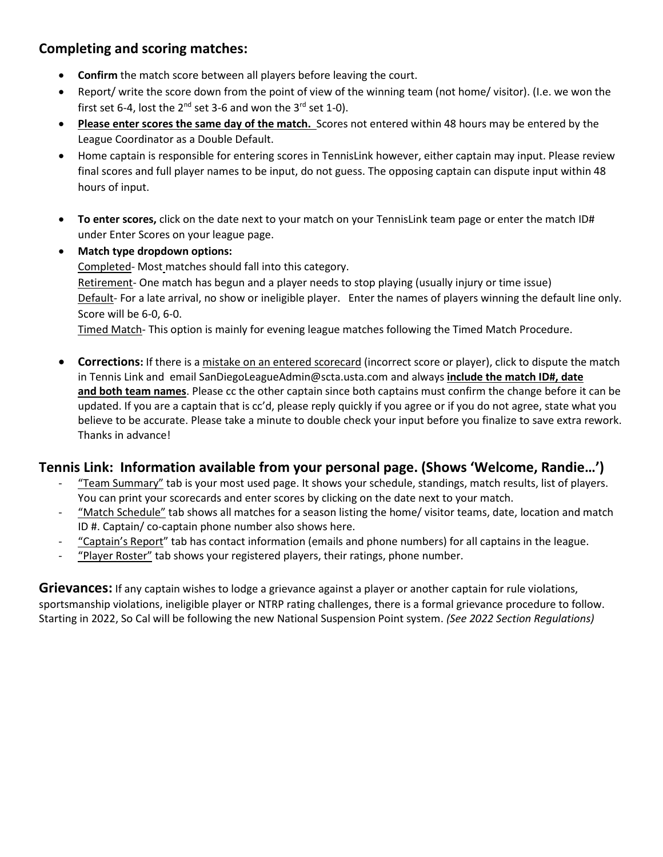# **Completing and scoring matches:**

- **Confirm** the match score between all players before leaving the court.
- Report/ write the score down from the point of view of the winning team (not home/ visitor). (I.e. we won the first set 6-4, lost the  $2^{nd}$  set 3-6 and won the  $3^{rd}$  set 1-0).
- **Please enter scores the same day of the match.** Scores not entered within 48 hours may be entered by the League Coordinator as a Double Default.
- Home captain is responsible for entering scores in TennisLink however, either captain may input. Please review final scores and full player names to be input, do not guess. The opposing captain can dispute input within 48 hours of input.
- **To enter scores,** click on the date next to your match on your TennisLink team page or enter the match ID# under Enter Scores on your league page.
- **Match type dropdown options:**

Completed- Most matches should fall into this category. Retirement- One match has begun and a player needs to stop playing (usually injury or time issue) Default- For a late arrival, no show or ineligible player. Enter the names of players winning the default line only. Score will be 6-0, 6-0.

Timed Match- This option is mainly for evening league matches following the Timed Match Procedure.

**Corrections:** If there is a mistake on an entered scorecard (incorrect score or player), click to dispute the match in Tennis Link and email SanDiegoLeagueAdmin@scta.usta.com and always **include the match ID#, date and both team names**. Please cc the other captain since both captains must confirm the change before it can be updated. If you are a captain that is cc'd, please reply quickly if you agree or if you do not agree, state what you believe to be accurate. Please take a minute to double check your input before you finalize to save extra rework. Thanks in advance!

## **Tennis Link: Information available from your personal page. (Shows 'Welcome, Randie…')**

- "Team Summary" tab is your most used page. It shows your schedule, standings, match results, list of players. You can print your scorecards and enter scores by clicking on the date next to your match.
- "Match Schedule" tab shows all matches for a season listing the home/ visitor teams, date, location and match ID #. Captain/ co-captain phone number also shows here.
- "Captain's Report" tab has contact information (emails and phone numbers) for all captains in the league.
- "Player Roster" tab shows your registered players, their ratings, phone number.

**Grievances:** If any captain wishes to lodge a grievance against a player or another captain for rule violations, sportsmanship violations, ineligible player or NTRP rating challenges, there is a formal grievance procedure to follow. Starting in 2022, So Cal will be following the new National Suspension Point system. *(See 2022 Section Regulations)*